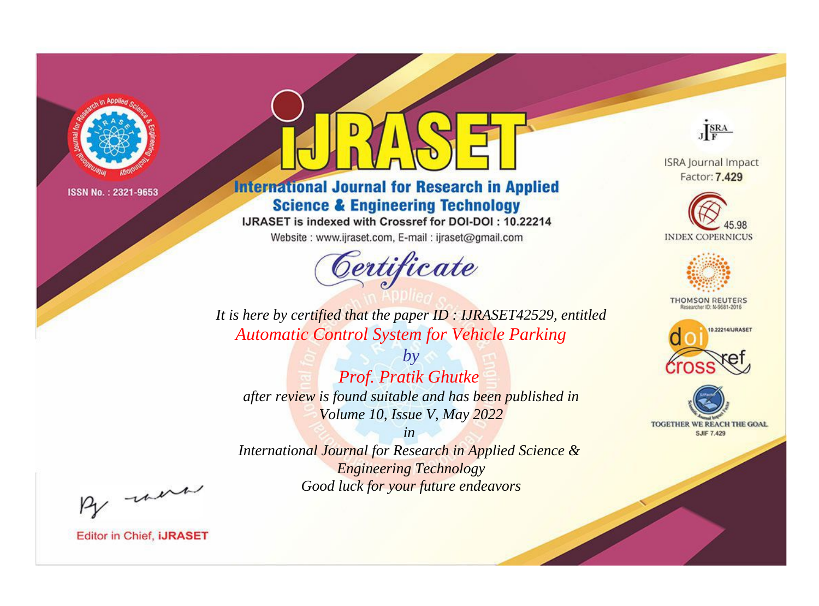

# **International Journal for Research in Applied Science & Engineering Technology**

IJRASET is indexed with Crossref for DOI-DOI: 10.22214

Website: www.ijraset.com, E-mail: ijraset@gmail.com



JERA

**ISRA Journal Impact** Factor: 7.429





**THOMSON REUTERS** 



TOGETHER WE REACH THE GOAL **SJIF 7.429** 

It is here by certified that the paper ID: IJRASET42529, entitled **Automatic Control System for Vehicle Parking** 

 $b\nu$ Prof. Pratik Ghutke after review is found suitable and has been published in Volume 10, Issue V, May 2022

 $in$ International Journal for Research in Applied Science & **Engineering Technology** Good luck for your future endeavors

By morn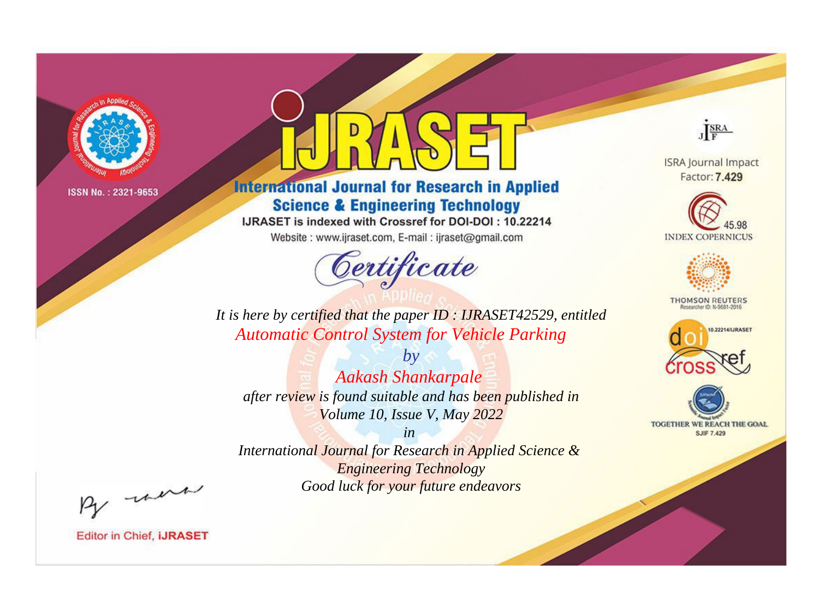

# **International Journal for Research in Applied Science & Engineering Technology**

IJRASET is indexed with Crossref for DOI-DOI: 10.22214

Website: www.ijraset.com, E-mail: ijraset@gmail.com



JERA

**ISRA Journal Impact** Factor: 7.429





**THOMSON REUTERS** 



TOGETHER WE REACH THE GOAL **SJIF 7.429** 

*It is here by certified that the paper ID : IJRASET42529, entitled Automatic Control System for Vehicle Parking*

*by Aakash Shankarpale after review is found suitable and has been published in Volume 10, Issue V, May 2022*

*in* 

*International Journal for Research in Applied Science & Engineering Technology Good luck for your future endeavors*

By morn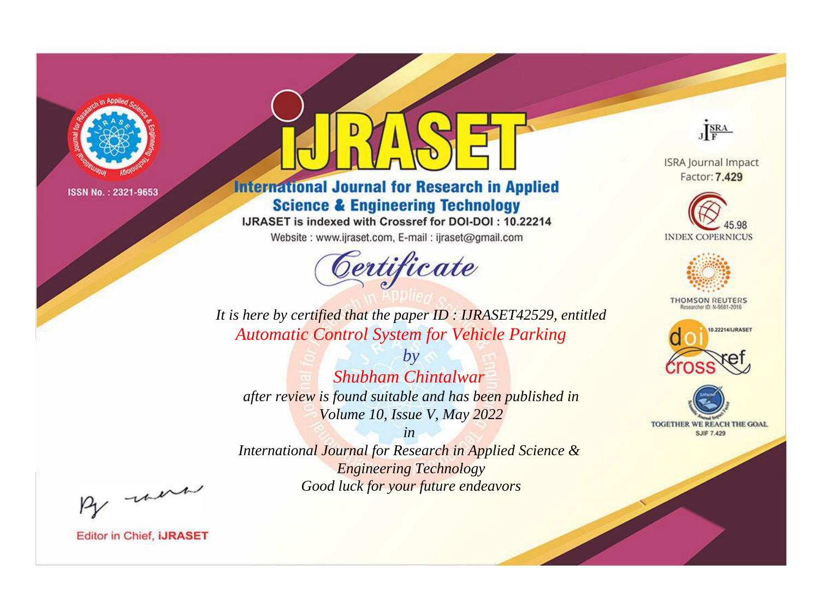

# **International Journal for Research in Applied Science & Engineering Technology**

IJRASET is indexed with Crossref for DOI-DOI: 10.22214

Website: www.ijraset.com, E-mail: ijraset@gmail.com



JERA

**ISRA Journal Impact** Factor: 7.429





**THOMSON REUTERS** 



TOGETHER WE REACH THE GOAL **SJIF 7.429** 

*It is here by certified that the paper ID : IJRASET42529, entitled Automatic Control System for Vehicle Parking*

*by Shubham Chintalwar after review is found suitable and has been published in Volume 10, Issue V, May 2022*

*in* 

*International Journal for Research in Applied Science & Engineering Technology Good luck for your future endeavors*

By morn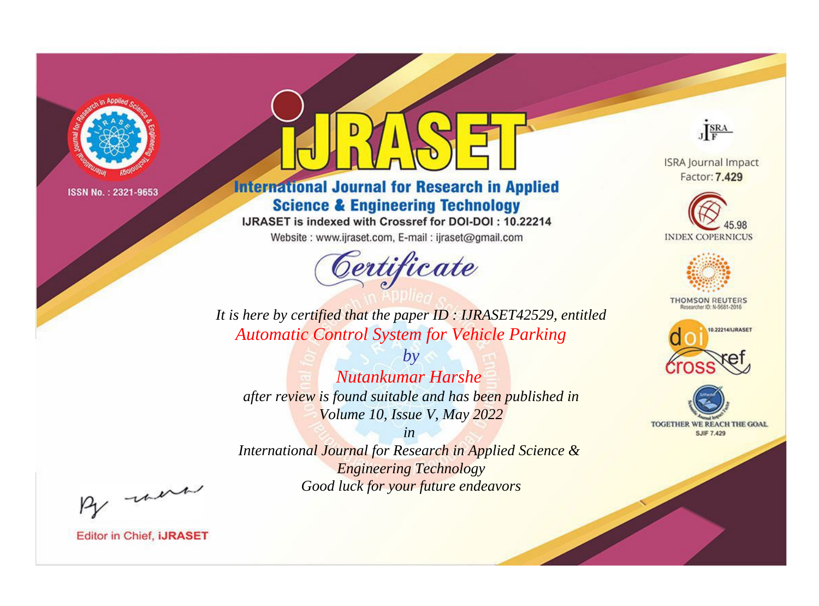

# **International Journal for Research in Applied Science & Engineering Technology**

IJRASET is indexed with Crossref for DOI-DOI: 10.22214

Website: www.ijraset.com, E-mail: ijraset@gmail.com



JERA

**ISRA Journal Impact** Factor: 7.429





**THOMSON REUTERS** 



TOGETHER WE REACH THE GOAL **SJIF 7.429** 

It is here by certified that the paper ID: IJRASET42529, entitled **Automatic Control System for Vehicle Parking** 

Nutankumar Harshe after review is found suitable and has been published in Volume 10, Issue V, May 2022

 $b\nu$ 

 $in$ International Journal for Research in Applied Science & **Engineering Technology** Good luck for your future endeavors

By morn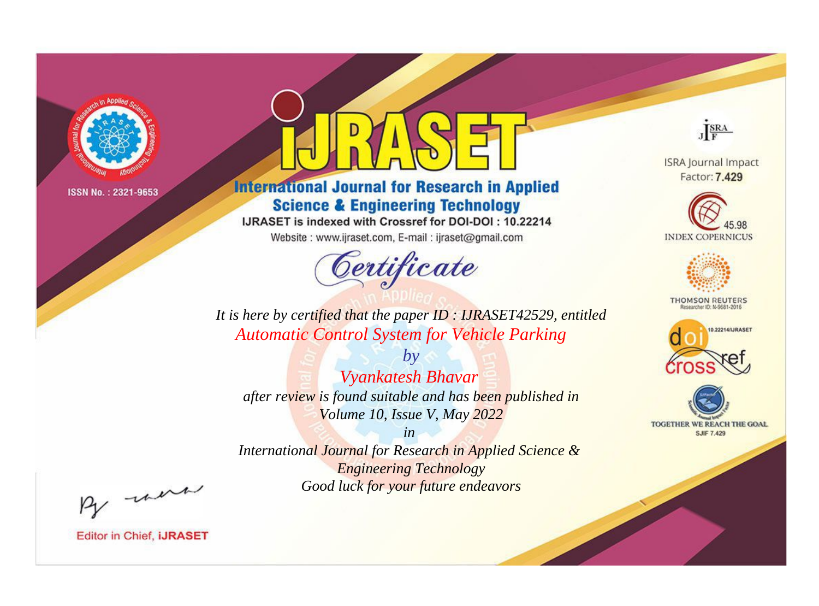

# **International Journal for Research in Applied Science & Engineering Technology**

IJRASET is indexed with Crossref for DOI-DOI: 10.22214

Website: www.ijraset.com, E-mail: ijraset@gmail.com



JERA

**ISRA Journal Impact** Factor: 7.429





**THOMSON REUTERS** 



TOGETHER WE REACH THE GOAL **SJIF 7.429** 

It is here by certified that the paper ID: IJRASET42529, entitled **Automatic Control System for Vehicle Parking** 

 $b\nu$ Vyankatesh Bhavar after review is found suitable and has been published in Volume 10, Issue V, May 2022

 $in$ International Journal for Research in Applied Science & **Engineering Technology** Good luck for your future endeavors

By morn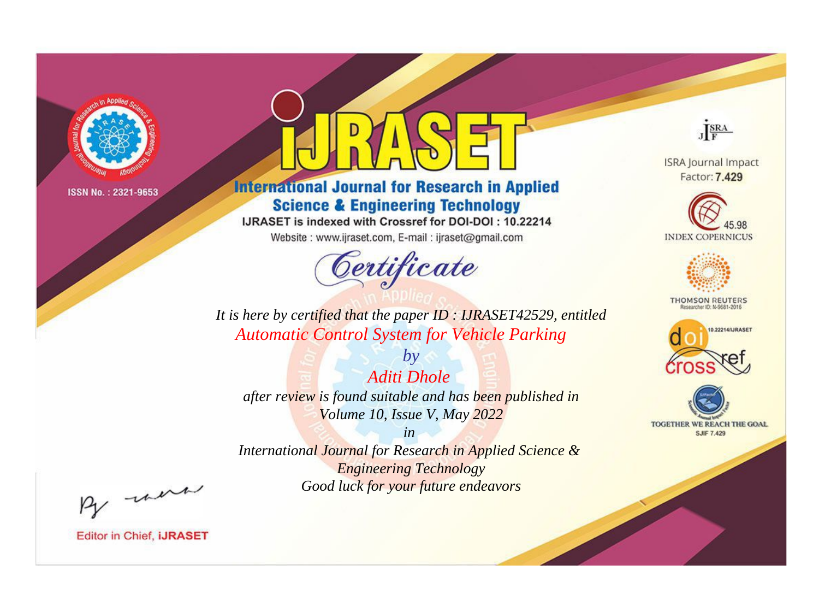

# **International Journal for Research in Applied Science & Engineering Technology**

IJRASET is indexed with Crossref for DOI-DOI: 10.22214

Website: www.ijraset.com, E-mail: ijraset@gmail.com



JERA

**ISRA Journal Impact** Factor: 7.429





**THOMSON REUTERS** 



TOGETHER WE REACH THE GOAL **SJIF 7.429** 

*It is here by certified that the paper ID : IJRASET42529, entitled Automatic Control System for Vehicle Parking*

*by Aditi Dhole after review is found suitable and has been published in Volume 10, Issue V, May 2022*

*in International Journal for Research in Applied Science &* 

*Engineering Technology Good luck for your future endeavors*

By morn